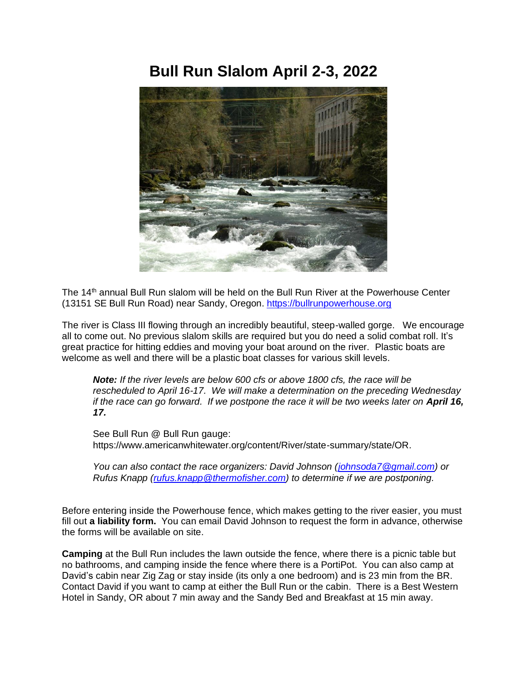## **Bull Run Slalom April 2-3, 2022**



The 14<sup>th</sup> annual Bull Run slalom will be held on the Bull Run River at the Powerhouse Center (13151 SE Bull Run Road) near Sandy, Oregon. [https://bullrunpowerhouse.org](https://bullrunpowerhouse.org/)

The river is Class III flowing through an incredibly beautiful, steep-walled gorge. We encourage all to come out. No previous slalom skills are required but you do need a solid combat roll. It's great practice for hitting eddies and moving your boat around on the river. Plastic boats are welcome as well and there will be a plastic boat classes for various skill levels.

*Note: If the river levels are below 600 cfs or above 1800 cfs, the race will be rescheduled to April 16-17. We will make a determination on the preceding Wednesday if the race can go forward. If we postpone the race it will be two weeks later on April 16, 17.*

See Bull Run @ Bull Run gauge: https://www.americanwhitewater.org/content/River/state-summary/state/OR.

*You can also contact the race organizers: David Johnson [\(johnsoda7@gmail.com\)](mailto:johnsoda7@gmail.com)* or *Rufus Knapp [\(rufus.knapp@thermofisher.com\)](mailto:rufus.knapp@thermofisher.com) to determine if we are postponing.* 

Before entering inside the Powerhouse fence, which makes getting to the river easier, you must fill out **a liability form.** You can email David Johnson to request the form in advance, otherwise the forms will be available on site.

**Camping** at the Bull Run includes the lawn outside the fence, where there is a picnic table but no bathrooms, and camping inside the fence where there is a PortiPot. You can also camp at David's cabin near Zig Zag or stay inside (its only a one bedroom) and is 23 min from the BR. Contact David if you want to camp at either the Bull Run or the cabin. There is a Best Western Hotel in Sandy, OR about 7 min away and the Sandy Bed and Breakfast at 15 min away.